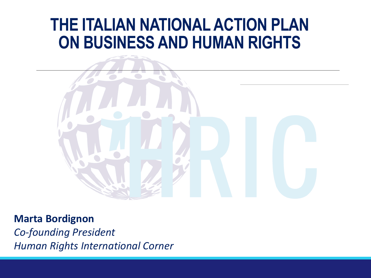## **THE ITALIAN NATIONAL ACTION PLAN ON BUSINESS AND HUMAN RIGHTS**



**Marta Bordignon** *Co-founding President Human Rights International Corner*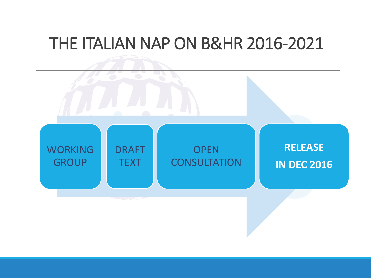### THE ITALIAN NAP ON B&HR 2016-2021

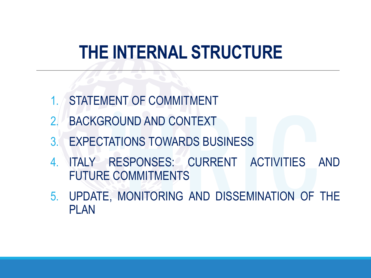# **THE INTERNAL STRUCTURE**

- 1. STATEMENT OF COMMITMENT
- 2. BACKGROUND AND CONTEXT
- 3. EXPECTATIONS TOWARDS BUSINESS
- 4. ITALY RESPONSES: CURRENT ACTIVITIES AND FUTURE COMMITMENTS
- 5. UPDATE, MONITORING AND DISSEMINATION OF THE PLAN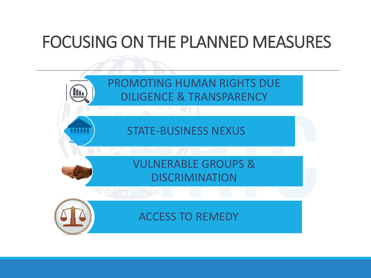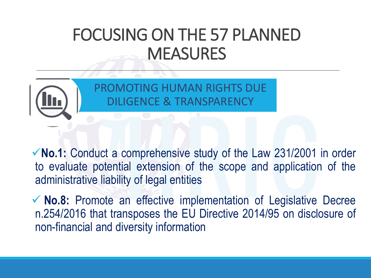

PROMOTING HUMAN RIGHTS DUE DILIGENCE & TRANSPARENCY

✓**No.1:** Conduct a comprehensive study of the Law 231/2001 in order to evaluate potential extension of the scope and application of the administrative liability of legal entities

✓ **No.8:** Promote an effective implementation of Legislative Decree n.254/2016 that transposes the EU Directive 2014/95 on disclosure of non-financial and diversity information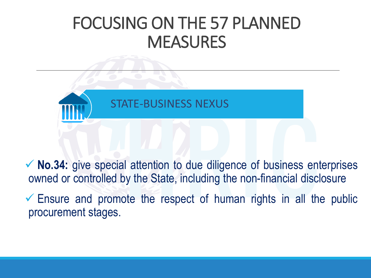

✓ **No.34:** give special attention to due diligence of business enterprises owned or controlled by the State, including the non-financial disclosure

 $\checkmark$  Ensure and promote the respect of human rights in all the public procurement stages.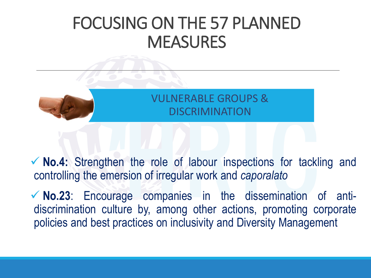

#### VULNERABLE GROUPS & **DISCRIMINATION**

✓ **No.4:** Strengthen the role of labour inspections for tackling and controlling the emersion of irregular work and *caporalato*

✓ **No.23**: Encourage companies in the dissemination of antidiscrimination culture by, among other actions, promoting corporate policies and best practices on inclusivity and Diversity Management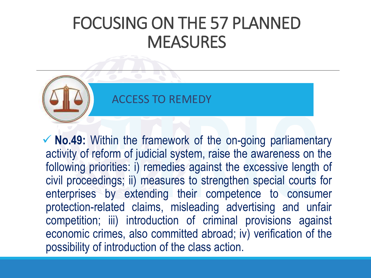

#### ACCESS TO REMEDY

✓ **No.49:** Within the framework of the on-going parliamentary activity of reform of judicial system, raise the awareness on the following priorities: i) remedies against the excessive length of civil proceedings; ii) measures to strengthen special courts for enterprises by extending their competence to consumer protection-related claims, misleading advertising and unfair competition; iii) introduction of criminal provisions against economic crimes, also committed abroad; iv) verification of the possibility of introduction of the class action.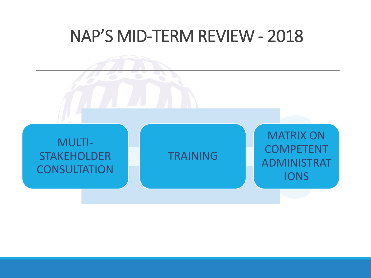## NAP'S MID-TERM REVIEW - 2018

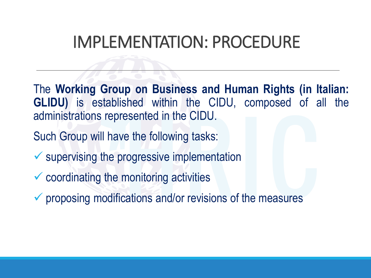## IMPLEMENTATION: PROCEDURE

The **Working Group on Business and Human Rights (in Italian: GLIDU)** is established within the CIDU, composed of all the administrations represented in the CIDU.

Such Group will have the following tasks:

- $\checkmark$  supervising the progressive implementation
- $\checkmark$  coordinating the monitoring activities
- $\checkmark$  proposing modifications and/or revisions of the measures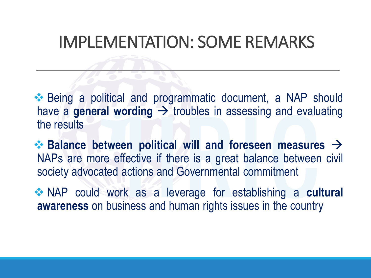## IMPLEMENTATION: SOME REMARKS

❖ Being a political and programmatic document, a NAP should have a **general wording**  $\rightarrow$  troubles in assessing and evaluating the results

❖ **Balance between political will and foreseen measures** → NAPs are more effective if there is a great balance between civil society advocated actions and Governmental commitment

❖ NAP could work as a leverage for establishing a **cultural awareness** on business and human rights issues in the country